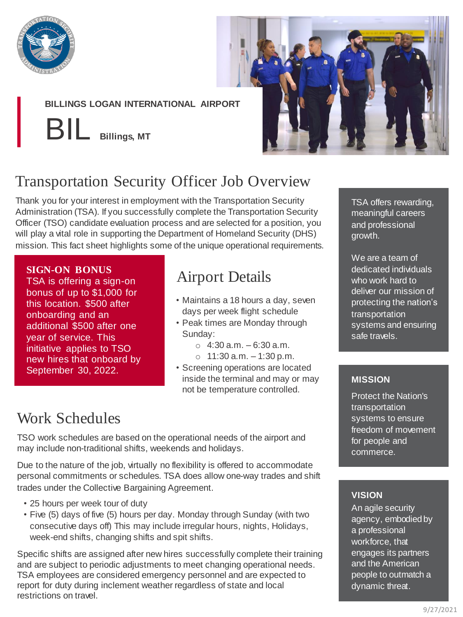

### **BILLINGS LOGAN INTERNATIONAL AIRPORT**

BIL **Billings, MT**



# Transportation Security Officer Job Overview

Thank you for your interest in employment with the Transportation Security Administration (TSA). If you successfully complete the Transportation Security Officer (TSO) candidate evaluation process and are selected for a position, you will play a vital role in supporting the Department of Homeland Security (DHS) mission. This fact sheet highlights some of the unique operational requirements.

### **SIGN-ON BONUS**

TSA is offering a sign-on bonus of up to \$1,000 for this location. \$500 after onboarding and an additional \$500 after one year of service. This initiative applies to TSO new hires that onboard by September 30, 2022.

## Airport Details

- Maintains a 18 hours a day, seven days per week flight schedule
- Peak times are Monday through Sunday:
	- $\circ$  4:30 a.m. 6:30 a.m.
	- $\circ$  11:30 a.m.  $-1:30$  p.m.
- Screening operations are located inside the terminal and may or may not be temperature controlled.

## Work Schedules

TSO work schedules are based on the operational needs of the airport and may include non-traditional shifts, weekends and holidays.

Due to the nature of the job, virtually no flexibility is offered to accommodate personal commitments or schedules. TSA does allow one-way trades and shift trades under the Collective Bargaining Agreement.

- 25 hours per week tour of duty
- Five (5) days of five (5) hours per day. Monday through Sunday (with two consecutive days off) This may include irregular hours, nights, Holidays, week-end shifts, changing shifts and spit shifts.

Specific shifts are assigned after new hires successfully complete their training and are subject to periodic adjustments to meet changing operational needs. TSA employees are considered emergency personnel and are expected to report for duty during inclement weather regardless of state and local restrictions on travel.

TSA offers rewarding, meaningful careers and professional growth.

We are a team of dedicated individuals who work hard to deliver our mission of protecting the nation's transportation systems and ensuring safe travels.

### **MISSION**

Protect the Nation's transportation systems to ensure freedom of movement for people and commerce.

### **VISION**

An agile security agency, embodied by a professional workforce, that engages its partners and the American people to outmatch a dynamic threat.